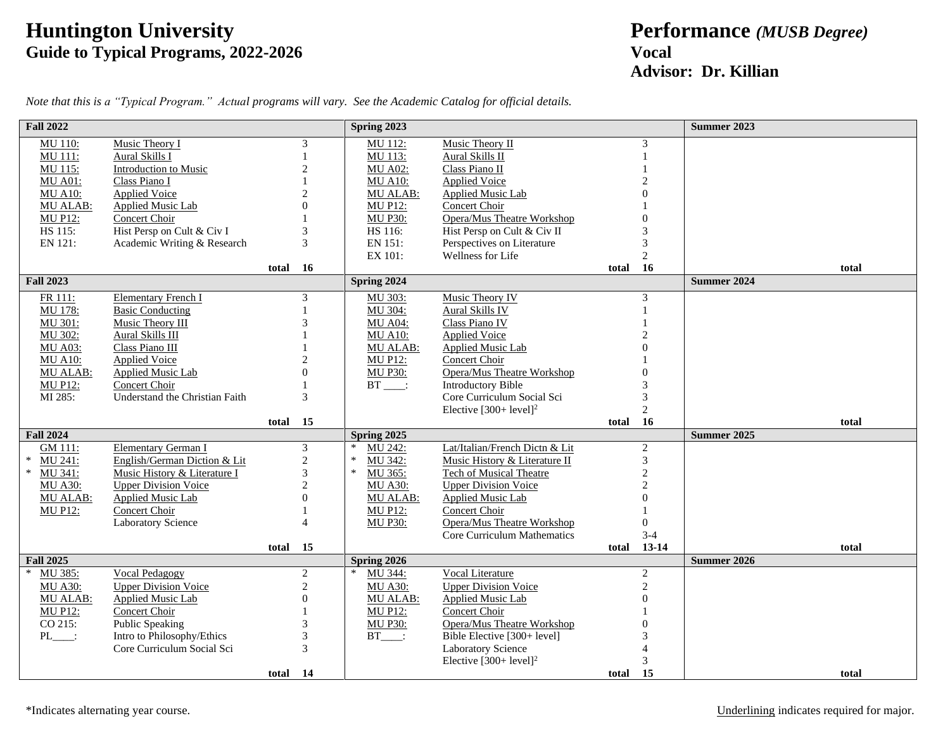## **Huntington University Performance** *(MUSB Degree)* **Guide to Typical Programs, 2022-2026 Vocal**

## **Advisor: Dr. Killian**

| <b>Fall 2022</b>                  |                                                              |       |                 | Spring 2023                       |                                                  |       |                     | <b>Summer 2023</b>   |
|-----------------------------------|--------------------------------------------------------------|-------|-----------------|-----------------------------------|--------------------------------------------------|-------|---------------------|----------------------|
| MU 110:                           | Music Theory I                                               |       | 3               | MU 112:                           | Music Theory II                                  |       | 3                   |                      |
| MU 111:                           | Aural Skills I                                               |       |                 | MU 113:                           | <b>Aural Skills II</b>                           |       |                     |                      |
| MU 115:                           | <b>Introduction to Music</b>                                 |       | $\overline{c}$  | <b>MU A02:</b>                    | Class Piano II                                   |       |                     |                      |
| <b>MU A01:</b>                    | Class Piano I                                                |       |                 | <b>MU A10:</b>                    | <b>Applied Voice</b>                             |       |                     |                      |
| <b>MU A10:</b>                    | <b>Applied Voice</b>                                         |       | $\overline{c}$  | <b>MU ALAB:</b>                   | Applied Music Lab                                |       | $\Omega$            |                      |
| <b>MU ALAB:</b>                   | Applied Music Lab                                            |       | $\Omega$        | <b>MU P12:</b>                    | Concert Choir                                    |       |                     |                      |
| <b>MU P12:</b>                    | <b>Concert Choir</b>                                         |       |                 | <b>MU P30:</b>                    | Opera/Mus Theatre Workshop                       |       | $\Omega$            |                      |
| HS 115:                           | Hist Persp on Cult & Civ I                                   |       | 3               | HS 116:                           | Hist Persp on Cult & Civ II                      |       |                     |                      |
| EN 121:                           | Academic Writing & Research                                  |       | 3               | EN 151:                           | Perspectives on Literature                       |       | 3                   |                      |
|                                   |                                                              |       |                 | EX 101:                           | Wellness for Life                                |       | $\mathbf{2}$        |                      |
|                                   |                                                              | total | 16              |                                   |                                                  | total | 16                  | total                |
| <b>Fall 2023</b>                  |                                                              |       |                 | Spring 2024                       |                                                  |       |                     | Summer 2024          |
| FR 111:                           | <b>Elementary French I</b>                                   |       | 3               | MU 303:                           | Music Theory IV                                  |       | 3                   |                      |
| MU 178:                           | <b>Basic Conducting</b>                                      |       |                 | MU 304:                           | Aural Skills IV                                  |       |                     |                      |
| MU 301:                           | Music Theory III                                             |       | 3               | <b>MU A04:</b>                    | Class Piano IV                                   |       |                     |                      |
| MU 302:                           | Aural Skills III                                             |       |                 | <b>MU A10:</b>                    | <b>Applied Voice</b>                             |       |                     |                      |
| <b>MU A03:</b>                    | Class Piano III                                              |       |                 | <b>MU ALAB:</b>                   | Applied Music Lab                                |       |                     |                      |
| <b>MU A10:</b>                    | <b>Applied Voice</b>                                         |       | $\mathfrak{D}$  | <b>MU P12:</b>                    | Concert Choir                                    |       |                     |                      |
| MU ALAB:                          | <b>Applied Music Lab</b>                                     |       | $\Omega$        | <b>MU P30:</b>                    | Opera/Mus Theatre Workshop                       |       | $\Omega$            |                      |
| <b>MU P12:</b>                    | <b>Concert Choir</b>                                         |       |                 | $BT$ :                            | <b>Introductory Bible</b>                        |       |                     |                      |
| MI 285:                           | Understand the Christian Faith                               |       | 3               |                                   | Core Curriculum Social Sci                       |       | 3                   |                      |
|                                   |                                                              |       |                 |                                   | Elective $[300+level]^2$                         |       | $\overline{2}$      |                      |
|                                   |                                                              | total | 15              |                                   |                                                  | total | <b>16</b>           | total<br>Summer 2025 |
| <b>Fall 2024</b>                  | Elementary German I                                          |       |                 | Spring 2025<br>MU 242:<br>$\ast$  | Lat/Italian/French Dictn & Lit                   |       |                     |                      |
| GM 111:<br>$\ast$<br>MU 241:      |                                                              |       | 3               | $\ast$<br>MU 342:                 |                                                  |       | $\overline{2}$<br>3 |                      |
| $\ast$<br>MU 341:                 | English/German Diction & Lit<br>Music History & Literature I |       | $\sqrt{2}$<br>3 | $\ast$                            | Music History & Literature II                    |       | $\overline{c}$      |                      |
|                                   |                                                              |       | $\overline{c}$  | MU 365:                           | <b>Tech of Musical Theatre</b>                   |       | $\overline{c}$      |                      |
| <b>MU A30:</b><br><b>MU ALAB:</b> | <b>Upper Division Voice</b><br>Applied Music Lab             |       | $\Omega$        | <b>MU A30:</b><br><b>MU ALAB:</b> | <b>Upper Division Voice</b><br>Applied Music Lab |       | $\Omega$            |                      |
| <b>MU P12:</b>                    | Concert Choir                                                |       |                 | <b>MU P12:</b>                    | Concert Choir                                    |       |                     |                      |
|                                   | Laboratory Science                                           |       | $\overline{4}$  |                                   | <b>Opera/Mus Theatre Workshop</b>                |       | $\Omega$            |                      |
|                                   |                                                              |       |                 | <b>MU P30:</b>                    | Core Curriculum Mathematics                      |       | $3 - 4$             |                      |
|                                   |                                                              | total | 15              |                                   |                                                  | total | $13-14$             | total                |
| <b>Fall 2025</b>                  |                                                              |       |                 | Spring 2026                       |                                                  |       |                     | <b>Summer 2026</b>   |
| $\ast$<br>MU 385:                 | Vocal Pedagogy                                               |       | $\overline{c}$  | MU 344:                           | Vocal Literature                                 |       | $\overline{2}$      |                      |
| <b>MU A30:</b>                    | <b>Upper Division Voice</b>                                  |       | $\overline{c}$  | <b>MU A30:</b>                    | <b>Upper Division Voice</b>                      |       | $\overline{c}$      |                      |
| MU ALAB:                          | <b>Applied Music Lab</b>                                     |       | $\overline{0}$  | MU ALAB:                          | <b>Applied Music Lab</b>                         |       | $\Omega$            |                      |
| <b>MU P12:</b>                    | Concert Choir                                                |       |                 | <b>MU P12:</b>                    | Concert Choir                                    |       |                     |                      |
| CO 215:                           | <b>Public Speaking</b>                                       |       | 3               | <b>MU P30:</b>                    | Opera/Mus Theatre Workshop                       |       | $\Omega$            |                      |
| $PL$ :                            | Intro to Philosophy/Ethics                                   |       | 3               | $BT$ :                            | Bible Elective [300+ level]                      |       |                     |                      |
|                                   | Core Curriculum Social Sci                                   |       | $\mathcal{R}$   |                                   | Laboratory Science                               |       |                     |                      |
|                                   |                                                              |       |                 |                                   | Elective $[300+level]^2$                         |       |                     |                      |
|                                   |                                                              | total | 14              |                                   |                                                  | total | <b>15</b>           | total                |

*Note that this is a "Typical Program." Actual programs will vary. See the Academic Catalog for official details.*